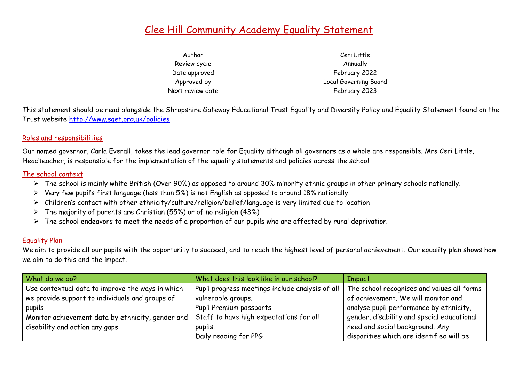## Clee Hill Community Academy Equality Statement

| Author           | Ceri Little           |  |
|------------------|-----------------------|--|
| Review cycle     | Annually              |  |
| Date approved    | February 2022         |  |
| Approved by      | Local Governing Board |  |
| Next review date | February 2023         |  |

This statement should be read alongside the Shropshire Gateway Educational Trust Equality and Diversity Policy and Equality Statement found on the Trust website<http://www.sget.org.uk/policies>

## Roles and responsibilities

Our named governor, Carla Everall, takes the lead governor role for Equality although all governors as a whole are responsible. Mrs Ceri Little, Headteacher, is responsible for the implementation of the equality statements and policies across the school.

## The school context

- ➢ The school is mainly white British (Over 90%) as opposed to around 30% minority ethnic groups in other primary schools nationally.
- ➢ Very few pupil's first language (less than 5%) is not English as opposed to around 18% nationally
- ➢ Children's contact with other ethnicity/culture/religion/belief/language is very limited due to location
- $\triangleright$  The majority of parents are Christian (55%) or of no religion (43%)
- ➢ The school endeavors to meet the needs of a proportion of our pupils who are affected by rural deprivation

## Equality Plan

We aim to provide all our pupils with the opportunity to succeed, and to reach the highest level of personal achievement. Our equality plan shows how we aim to do this and the impact.

| What do we do?                                    | What does this look like in our school?         | Impact                                     |
|---------------------------------------------------|-------------------------------------------------|--------------------------------------------|
| Use contextual data to improve the ways in which  | Pupil progress meetings include analysis of all | The school recognises and values all forms |
| we provide support to individuals and groups of   | vulnerable groups.                              | of achievement. We will monitor and        |
| pupils                                            | Pupil Premium passports                         | analyse pupil performance by ethnicity,    |
| Monitor achievement data by ethnicity, gender and | Staff to have high expectations for all         | gender, disability and special educational |
| disability and action any gaps                    | pupils.                                         | need and social background. Any            |
|                                                   | Daily reading for PPG                           | disparities which are identified will be   |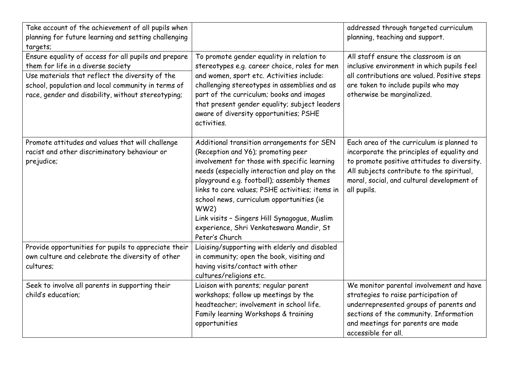| Take account of the achievement of all pupils when<br>planning for future learning and setting challenging<br>targets;                                                                                                                                    |                                                                                                                                                                                                                                                                                                                                                                                                                                                       | addressed through targeted curriculum<br>planning, teaching and support.                                                                                                                                                                         |
|-----------------------------------------------------------------------------------------------------------------------------------------------------------------------------------------------------------------------------------------------------------|-------------------------------------------------------------------------------------------------------------------------------------------------------------------------------------------------------------------------------------------------------------------------------------------------------------------------------------------------------------------------------------------------------------------------------------------------------|--------------------------------------------------------------------------------------------------------------------------------------------------------------------------------------------------------------------------------------------------|
| Ensure equality of access for all pupils and prepare<br>them for life in a diverse society<br>Use materials that reflect the diversity of the<br>school, population and local community in terms of<br>race, gender and disability, without stereotyping; | To promote gender equality in relation to<br>stereotypes e.g. career choice, roles for men<br>and women, sport etc. Activities include:<br>challenging stereotypes in assemblies and as<br>part of the curriculum; books and images<br>that present gender equality; subject leaders<br>aware of diversity opportunities; PSHE<br>activities.                                                                                                         | All staff ensure the classroom is an<br>inclusive environment in which pupils feel<br>all contributions are valued. Positive steps<br>are taken to include pupils who may<br>otherwise be marginalized.                                          |
| Promote attitudes and values that will challenge<br>racist and other discriminatory behaviour or<br>prejudice;                                                                                                                                            | Additional transition arrangements for SEN<br>(Reception and Y6); promoting peer<br>involvement for those with specific learning<br>needs (especially interaction and play on the<br>playground e.g. football); assembly themes<br>links to core values; PSHE activities; items in<br>school news, curriculum opportunities (ie<br>WW2)<br>Link visits - Singers Hill Synagogue, Muslim<br>experience, Shri Venkateswara Mandir, St<br>Peter's Church | Each area of the curriculum is planned to<br>incorporate the principles of equality and<br>to promote positive attitudes to diversity.<br>All subjects contribute to the spiritual,<br>moral, social, and cultural development of<br>all pupils. |
| Provide opportunities for pupils to appreciate their<br>own culture and celebrate the diversity of other<br>cultures;                                                                                                                                     | Liaising/supporting with elderly and disabled<br>in community; open the book, visiting and<br>having visits/contact with other<br>cultures/religions etc.                                                                                                                                                                                                                                                                                             |                                                                                                                                                                                                                                                  |
| Seek to involve all parents in supporting their<br>child's education;                                                                                                                                                                                     | Liaison with parents; regular parent<br>workshops; follow up meetings by the<br>headteacher; involvement in school life.<br>Family learning Workshops & training<br>opportunities                                                                                                                                                                                                                                                                     | We monitor parental involvement and have<br>strategies to raise participation of<br>underrepresented groups of parents and<br>sections of the community. Information<br>and meetings for parents are made<br>accessible for all.                 |